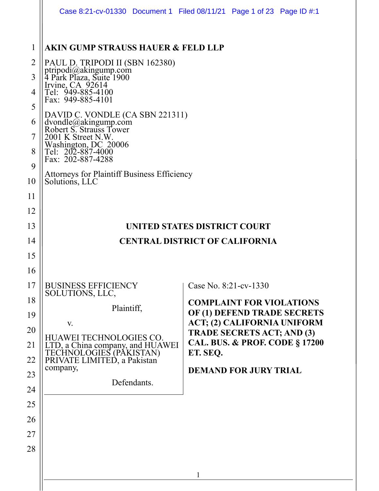|                                                                      |                                                                                                                                                                                                                                                                                                                                                                                                                                                           | Case 8:21-cv-01330 Document 1 Filed 08/11/21 Page 1 of 23 Page ID #:1                                                                                                                                                                                |
|----------------------------------------------------------------------|-----------------------------------------------------------------------------------------------------------------------------------------------------------------------------------------------------------------------------------------------------------------------------------------------------------------------------------------------------------------------------------------------------------------------------------------------------------|------------------------------------------------------------------------------------------------------------------------------------------------------------------------------------------------------------------------------------------------------|
| 1<br>2<br>3<br>4<br>5<br>$\mathfrak b$<br>7<br>8<br>9<br>10          | <b>AKIN GUMP STRAUSS HAUER &amp; FELD LLP</b><br>PAUL D. TRIPODI II (SBN 162380)<br>ptripodi@akingump.com<br>4 Park Plaza, Suite 1900<br>Irvine, CA 92614<br>Tel: 949-885-4100<br>Fax: 949-885-4101<br>DAVID C. VONDLE (CA SBN 221311)<br>dvondle@akingump.com<br>Robert S. Strauss Tower<br>2001 K Street N.W.<br>Washington, DC 20006<br>Tel: 202-887-4000<br>Fax: 202-887-4288<br><b>Attorneys for Plaintiff Business Efficiency</b><br>Solutions, LLC |                                                                                                                                                                                                                                                      |
| 11<br>12<br>13<br>14<br>15<br>16                                     |                                                                                                                                                                                                                                                                                                                                                                                                                                                           | UNITED STATES DISTRICT COURT<br><b>CENTRAL DISTRICT OF CALIFORNIA</b>                                                                                                                                                                                |
| 17<br>18<br>19<br>20<br>21<br>22<br>23<br>24<br>25<br>26<br>27<br>28 | <b>BUSINESS EFFICIENCY</b><br>SOLUTIONS, LLC,<br>Plaintiff,<br>V.<br>HUAWEI TECHNOLOGIES CO.<br>LTD, a China company, and HUAWEI<br>TECHNOLOGIES (PAKISTAN)<br>PRIVATE LIMITED, a Pakistan<br>company,<br>Defendants.                                                                                                                                                                                                                                     | Case No. 8:21-cv-1330<br><b>COMPLAINT FOR VIOLATIONS</b><br>OF (1) DEFEND TRADE SECRETS<br>ACT; (2) CALIFORNIA UNIFORM<br><b>TRADE SECRETS ACT; AND (3)</b><br><b>CAL. BUS. &amp; PROF. CODE § 17200</b><br>ET. SEQ.<br><b>DEMAND FOR JURY TRIAL</b> |
|                                                                      |                                                                                                                                                                                                                                                                                                                                                                                                                                                           | $\mathbf{1}$                                                                                                                                                                                                                                         |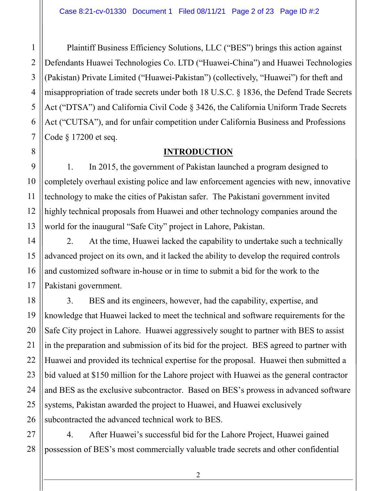Plaintiff Business Efficiency Solutions, LLC ("BES") brings this action against Defendants Huawei Technologies Co. LTD ("Huawei-China") and Huawei Technologies (Pakistan) Private Limited ("Huawei-Pakistan") (collectively, "Huawei") for theft and misappropriation of trade secrets under both 18 U.S.C. § 1836, the Defend Trade Secrets Act ("DTSA") and California Civil Code § 3426, the California Uniform Trade Secrets Act ("CUTSA"), and for unfair competition under California Business and Professions Code § 17200 et seq.

### **INTRODUCTION**

1. In 2015, the government of Pakistan launched a program designed to completely overhaul existing police and law enforcement agencies with new, innovative technology to make the cities of Pakistan safer. The Pakistani government invited highly technical proposals from Huawei and other technology companies around the world for the inaugural "Safe City" project in Lahore, Pakistan.

2. At the time, Huawei lacked the capability to undertake such a technically advanced project on its own, and it lacked the ability to develop the required controls and customized software in-house or in time to submit a bid for the work to the Pakistani government.

3. BES and its engineers, however, had the capability, expertise, and knowledge that Huawei lacked to meet the technical and software requirements for the Safe City project in Lahore. Huawei aggressively sought to partner with BES to assist in the preparation and submission of its bid for the project. BES agreed to partner with Huawei and provided its technical expertise for the proposal. Huawei then submitted a bid valued at \$150 million for the Lahore project with Huawei as the general contractor and BES as the exclusive subcontractor. Based on BES's prowess in advanced software systems, Pakistan awarded the project to Huawei, and Huawei exclusively subcontracted the advanced technical work to BES.

4. After Huawei's successful bid for the Lahore Project, Huawei gained possession of BES's most commercially valuable trade secrets and other confidential

1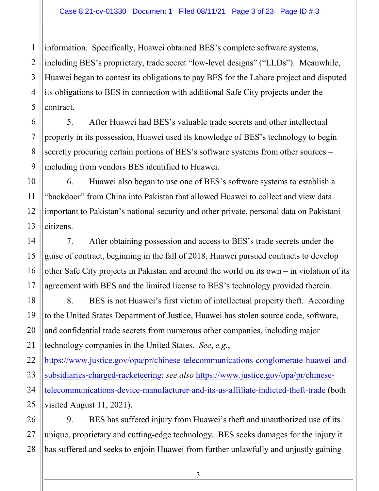1 2 information. Specifically, Huawei obtained BES's complete software systems, including BES's proprietary, trade secret "low-level designs" ("LLDs"). Meanwhile, Huawei began to contest its obligations to pay BES for the Lahore project and disputed its obligations to BES in connection with additional Safe City projects under the contract.

5. After Huawei had BES's valuable trade secrets and other intellectual property in its possession, Huawei used its knowledge of BES's technology to begin secretly procuring certain portions of BES's software systems from other sources – including from vendors BES identified to Huawei.

6. Huawei also began to use one of BES's software systems to establish a "backdoor" from China into Pakistan that allowed Huawei to collect and view data important to Pakistan's national security and other private, personal data on Pakistani citizens.

7. After obtaining possession and access to BES's trade secrets under the guise of contract, beginning in the fall of 2018, Huawei pursued contracts to develop other Safe City projects in Pakistan and around the world on its own – in violation of its agreement with BES and the limited license to BES's technology provided therein.

8. BES is not Huawei's first victim of intellectual property theft. According to the United States Department of Justice, Huawei has stolen source code, software, and confidential trade secrets from numerous other companies, including major technology companies in the United States. *See*, *e.g.*,

[https://www.justice.gov/opa/pr/chinese-telecommunications-conglomerate-huawei-and](https://www.justice.gov/opa/pr/chinese-telecommunications-conglomerate-huawei-and-subsidiaries-charged-racketeering)[subsidiaries-charged-racketeering;](https://www.justice.gov/opa/pr/chinese-telecommunications-conglomerate-huawei-and-subsidiaries-charged-racketeering) *see also* [https://www.justice.gov/opa/pr/chinese](https://www.justice.gov/opa/pr/chinese-telecommunications-device-manufacturer-and-its-us-affiliate-indicted-theft-trade)[telecommunications-device-manufacturer-and-its-us-affiliate-indicted-theft-trade](https://www.justice.gov/opa/pr/chinese-telecommunications-device-manufacturer-and-its-us-affiliate-indicted-theft-trade) (both visited August 11, 2021).

9. BES has suffered injury from Huawei's theft and unauthorized use of its unique, proprietary and cutting-edge technology. BES seeks damages for the injury it has suffered and seeks to enjoin Huawei from further unlawfully and unjustly gaining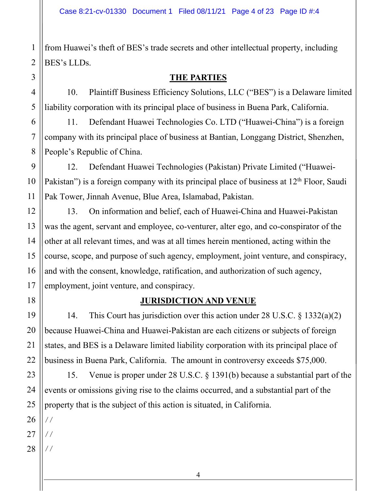from Huawei's theft of BES's trade secrets and other intellectual property, including BES's LLDs.

### **THE PARTIES**

10. Plaintiff Business Efficiency Solutions, LLC ("BES") is a Delaware limited liability corporation with its principal place of business in Buena Park, California.

11. Defendant Huawei Technologies Co. LTD ("Huawei-China") is a foreign company with its principal place of business at Bantian, Longgang District, Shenzhen, People's Republic of China.

12. Defendant Huawei Technologies (Pakistan) Private Limited ("Huawei-Pakistan") is a foreign company with its principal place of business at  $12<sup>th</sup>$  Floor, Saudi Pak Tower, Jinnah Avenue, Blue Area, Islamabad, Pakistan.

13. On information and belief, each of Huawei-China and Huawei-Pakistan was the agent, servant and employee, co-venturer, alter ego, and co-conspirator of the other at all relevant times, and was at all times herein mentioned, acting within the course, scope, and purpose of such agency, employment, joint venture, and conspiracy, and with the consent, knowledge, ratification, and authorization of such agency, employment, joint venture, and conspiracy.

### **JURISDICTION AND VENUE**

14. This Court has jurisdiction over this action under 28 U.S.C. § 1332(a)(2) because Huawei-China and Huawei-Pakistan are each citizens or subjects of foreign states, and BES is a Delaware limited liability corporation with its principal place of business in Buena Park, California. The amount in controversy exceeds \$75,000.

15. Venue is proper under 28 U.S.C. § 1391(b) because a substantial part of the events or omissions giving rise to the claims occurred, and a substantial part of the property that is the subject of this action is situated, in California.

25 26 27

1

2

3

4

5

6

7

8

9

10

11

12

13

14

15

16

17

18

19

20

21

22

23

24

28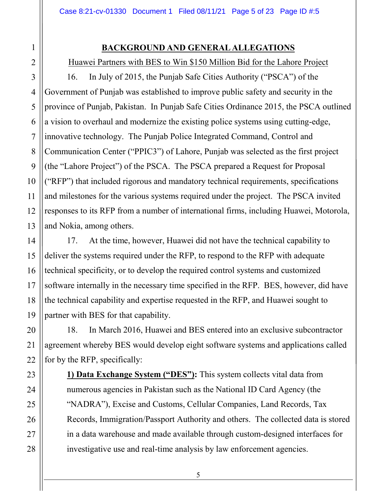### **BACKGROUND AND GENERAL ALLEGATIONS**

Huawei Partners with BES to Win \$150 Million Bid for the Lahore Project

16. In July of 2015, the Punjab Safe Cities Authority ("PSCA") of the Government of Punjab was established to improve public safety and security in the province of Punjab, Pakistan. In Punjab Safe Cities Ordinance 2015, the PSCA outlined a vision to overhaul and modernize the existing police systems using cutting-edge, innovative technology. The Punjab Police Integrated Command, Control and Communication Center ("PPIC3") of Lahore, Punjab was selected as the first project (the "Lahore Project") of the PSCA. The PSCA prepared a Request for Proposal ("RFP") that included rigorous and mandatory technical requirements, specifications and milestones for the various systems required under the project. The PSCA invited responses to its RFP from a number of international firms, including Huawei, Motorola, and Nokia, among others.

17. At the time, however, Huawei did not have the technical capability to deliver the systems required under the RFP, to respond to the RFP with adequate technical specificity, or to develop the required control systems and customized software internally in the necessary time specified in the RFP. BES, however, did have the technical capability and expertise requested in the RFP, and Huawei sought to partner with BES for that capability.

18. In March 2016, Huawei and BES entered into an exclusive subcontractor agreement whereby BES would develop eight software systems and applications called for by the RFP, specifically:

**1) Data Exchange System ("DES"):** This system collects vital data from numerous agencies in Pakistan such as the National ID Card Agency (the "NADRA"), Excise and Customs, Cellular Companies, Land Records, Tax Records, Immigration/Passport Authority and others. The collected data is stored in a data warehouse and made available through custom-designed interfaces for investigative use and real-time analysis by law enforcement agencies.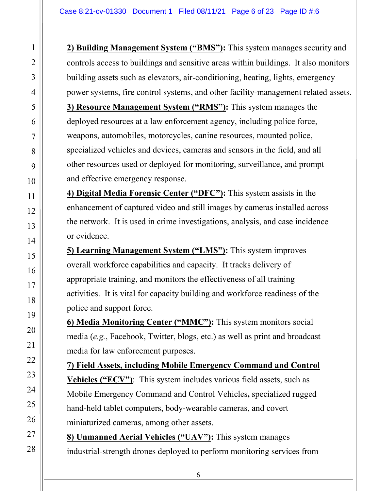**2) Building Management System ("BMS"):** This system manages security and controls access to buildings and sensitive areas within buildings. It also monitors building assets such as elevators, air-conditioning, heating, lights, emergency power systems, fire control systems, and other facility-management related assets. **3) Resource Management System ("RMS"):** This system manages the deployed resources at a law enforcement agency, including police force, weapons, automobiles, motorcycles, canine resources, mounted police, specialized vehicles and devices, cameras and sensors in the field, and all other resources used or deployed for monitoring, surveillance, and prompt and effective emergency response.

**4) Digital Media Forensic Center ("DFC"):** This system assists in the enhancement of captured video and still images by cameras installed across the network. It is used in crime investigations, analysis, and case incidence or evidence.

**5) Learning Management System ("LMS"):** This system improves overall workforce capabilities and capacity. It tracks delivery of appropriate training, and monitors the effectiveness of all training activities. It is vital for capacity building and workforce readiness of the police and support force.

**6) Media Monitoring Center ("MMC"):** This system monitors social media (*e.g.*, Facebook, Twitter, blogs, etc.) as well as print and broadcast media for law enforcement purposes.

**7) Field Assets, including Mobile Emergency Command and Control Vehicles ("ECV")**: This system includes various field assets, such as Mobile Emergency Command and Control Vehicles**,** specialized rugged hand-held tablet computers, body-wearable cameras, and covert miniaturized cameras, among other assets.

**8) Unmanned Aerial Vehicles ("UAV"):** This system manages industrial-strength drones deployed to perform monitoring services from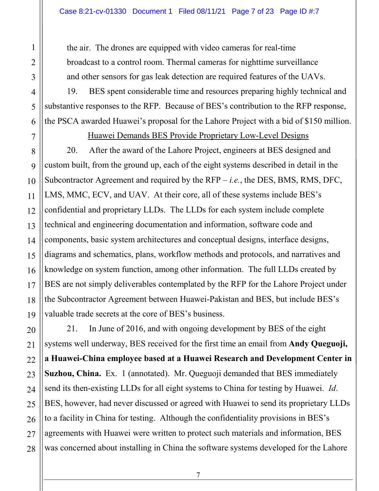the air. The drones are equipped with video cameras for real-time broadcast to a control room. Thermal cameras for nighttime surveillance and other sensors for gas leak detection are required features of the UAVs.

19. BES spent considerable time and resources preparing highly technical and substantive responses to the RFP. Because of BES's contribution to the RFP response, the PSCA awarded Huawei's proposal for the Lahore Project with a bid of \$150 million.

Huawei Demands BES Provide Proprietary Low-Level Designs

20. After the award of the Lahore Project, engineers at BES designed and custom built, from the ground up, each of the eight systems described in detail in the Subcontractor Agreement and required by the RFP – *i.e.*, the DES, BMS, RMS, DFC, LMS, MMC, ECV, and UAV. At their core, all of these systems include BES's confidential and proprietary LLDs. The LLDs for each system include complete technical and engineering documentation and information, software code and components, basic system architectures and conceptual designs, interface designs, diagrams and schematics, plans, workflow methods and protocols, and narratives and knowledge on system function, among other information. The full LLDs created by BES are not simply deliverables contemplated by the RFP for the Lahore Project under the Subcontractor Agreement between Huawei-Pakistan and BES, but include BES's valuable trade secrets at the core of BES's business.

21. In June of 2016, and with ongoing development by BES of the eight systems well underway, BES received for the first time an email from **Andy Queguoji, a Huawei-China employee based at a Huawei Research and Development Center in Suzhou, China.** Ex. 1 (annotated). Mr. Queguoji demanded that BES immediately send its then-existing LLDs for all eight systems to China for testing by Huawei. *Id*. BES, however, had never discussed or agreed with Huawei to send its proprietary LLDs to a facility in China for testing. Although the confidentiality provisions in BES's agreements with Huawei were written to protect such materials and information, BES was concerned about installing in China the software systems developed for the Lahore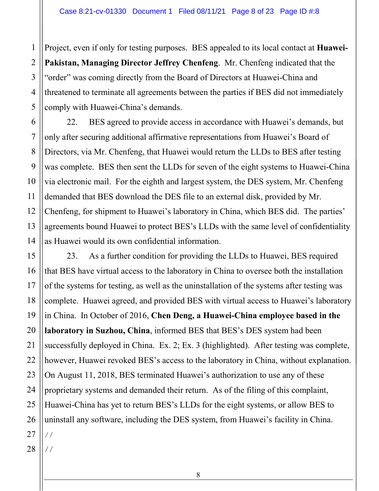Project, even if only for testing purposes. BES appealed to its local contact at **Huawei-Pakistan, Managing Director Jeffrey Chenfeng**. Mr. Chenfeng indicated that the "order" was coming directly from the Board of Directors at Huawei-China and threatened to terminate all agreements between the parties if BES did not immediately comply with Huawei-China's demands.

22. BES agreed to provide access in accordance with Huawei's demands, but only after securing additional affirmative representations from Huawei's Board of Directors, via Mr. Chenfeng, that Huawei would return the LLDs to BES after testing was complete. BES then sent the LLDs for seven of the eight systems to Huawei-China via electronic mail. For the eighth and largest system, the DES system, Mr. Chenfeng demanded that BES download the DES file to an external disk, provided by Mr. Chenfeng, for shipment to Huawei's laboratory in China, which BES did. The parties' agreements bound Huawei to protect BES's LLDs with the same level of confidentiality as Huawei would its own confidential information.

23. As a further condition for providing the LLDs to Huawei, BES required that BES have virtual access to the laboratory in China to oversee both the installation of the systems for testing, as well as the uninstallation of the systems after testing was complete. Huawei agreed, and provided BES with virtual access to Huawei's laboratory in China. In October of 2016, **Chen Deng, a Huawei-China employee based in the laboratory in Suzhou, China**, informed BES that BES's DES system had been successfully deployed in China. Ex. 2; Ex. 3 (highlighted). After testing was complete, however, Huawei revoked BES's access to the laboratory in China, without explanation. On August 11, 2018, BES terminated Huawei's authorization to use any of these proprietary systems and demanded their return. As of the filing of this complaint, Huawei-China has yet to return BES's LLDs for the eight systems, or allow BES to uninstall any software, including the DES system, from Huawei's facility in China. //

28 //

1

2

3

4

5

6

7

8

9

10

11

12

13

14

15

16

17

18

19

20

21

22

23

24

25

26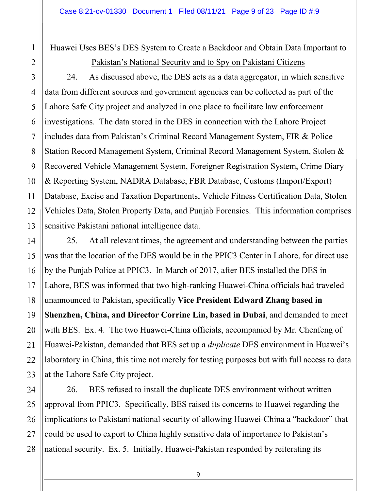# Huawei Uses BES's DES System to Create a Backdoor and Obtain Data Important to

1

2

3

### Pakistan's National Security and to Spy on Pakistani Citizens

24. As discussed above, the DES acts as a data aggregator, in which sensitive data from different sources and government agencies can be collected as part of the Lahore Safe City project and analyzed in one place to facilitate law enforcement investigations. The data stored in the DES in connection with the Lahore Project includes data from Pakistan's Criminal Record Management System, FIR & Police Station Record Management System, Criminal Record Management System, Stolen & Recovered Vehicle Management System, Foreigner Registration System, Crime Diary & Reporting System, NADRA Database, FBR Database, Customs (Import/Export) Database, Excise and Taxation Departments, Vehicle Fitness Certification Data, Stolen Vehicles Data, Stolen Property Data, and Punjab Forensics. This information comprises sensitive Pakistani national intelligence data.

25. At all relevant times, the agreement and understanding between the parties was that the location of the DES would be in the PPIC3 Center in Lahore, for direct use by the Punjab Police at PPIC3. In March of 2017, after BES installed the DES in Lahore, BES was informed that two high-ranking Huawei-China officials had traveled unannounced to Pakistan, specifically **Vice President Edward Zhang based in Shenzhen, China, and Director Corrine Lin, based in Dubai**, and demanded to meet with BES. Ex. 4. The two Huawei-China officials, accompanied by Mr. Chenfeng of Huawei-Pakistan, demanded that BES set up a *duplicate* DES environment in Huawei's laboratory in China, this time not merely for testing purposes but with full access to data at the Lahore Safe City project.

26. BES refused to install the duplicate DES environment without written approval from PPIC3. Specifically, BES raised its concerns to Huawei regarding the implications to Pakistani national security of allowing Huawei-China a "backdoor" that could be used to export to China highly sensitive data of importance to Pakistan's national security. Ex. 5. Initially, Huawei-Pakistan responded by reiterating its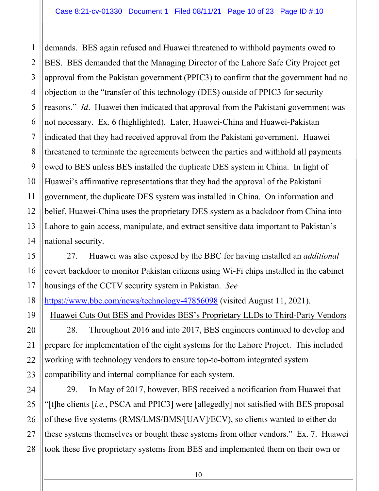1

2

3

4

5

6

7

8

9

10

11

12

13

14

15

16

17

19

20

21

22

23

24

25

26

27

28

demands. BES again refused and Huawei threatened to withhold payments owed to BES. BES demanded that the Managing Director of the Lahore Safe City Project get approval from the Pakistan government (PPIC3) to confirm that the government had no objection to the "transfer of this technology (DES) outside of PPIC3 for security reasons." *Id*. Huawei then indicated that approval from the Pakistani government was not necessary. Ex. 6 (highlighted). Later, Huawei-China and Huawei-Pakistan indicated that they had received approval from the Pakistani government. Huawei threatened to terminate the agreements between the parties and withhold all payments owed to BES unless BES installed the duplicate DES system in China. In light of Huawei's affirmative representations that they had the approval of the Pakistani government, the duplicate DES system was installed in China. On information and belief, Huawei-China uses the proprietary DES system as a backdoor from China into Lahore to gain access, manipulate, and extract sensitive data important to Pakistan's national security.

27. Huawei was also exposed by the BBC for having installed an *additional* covert backdoor to monitor Pakistan citizens using Wi-Fi chips installed in the cabinet housings of the CCTV security system in Pakistan. *See*

18 <https://www.bbc.com/news/technology-47856098>(visited August 11, 2021).

Huawei Cuts Out BES and Provides BES's Proprietary LLDs to Third-Party Vendors

28. Throughout 2016 and into 2017, BES engineers continued to develop and prepare for implementation of the eight systems for the Lahore Project. This included working with technology vendors to ensure top-to-bottom integrated system compatibility and internal compliance for each system.

29. In May of 2017, however, BES received a notification from Huawei that "[t]he clients [*i.e.*, PSCA and PPIC3] were [allegedly] not satisfied with BES proposal of these five systems (RMS/LMS/BMS/[UAV]/ECV), so clients wanted to either do these systems themselves or bought these systems from other vendors." Ex. 7. Huawei took these five proprietary systems from BES and implemented them on their own or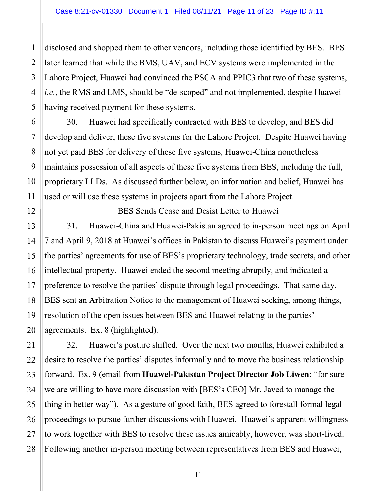disclosed and shopped them to other vendors, including those identified by BES. BES later learned that while the BMS, UAV, and ECV systems were implemented in the Lahore Project, Huawei had convinced the PSCA and PPIC3 that two of these systems, *i.e.*, the RMS and LMS, should be "de-scoped" and not implemented, despite Huawei having received payment for these systems.

30. Huawei had specifically contracted with BES to develop, and BES did develop and deliver, these five systems for the Lahore Project. Despite Huawei having not yet paid BES for delivery of these five systems, Huawei-China nonetheless maintains possession of all aspects of these five systems from BES, including the full, proprietary LLDs. As discussed further below, on information and belief, Huawei has used or will use these systems in projects apart from the Lahore Project.

BES Sends Cease and Desist Letter to Huawei

31. Huawei-China and Huawei-Pakistan agreed to in-person meetings on April 7 and April 9, 2018 at Huawei's offices in Pakistan to discuss Huawei's payment under the parties' agreements for use of BES's proprietary technology, trade secrets, and other intellectual property. Huawei ended the second meeting abruptly, and indicated a preference to resolve the parties' dispute through legal proceedings. That same day, BES sent an Arbitration Notice to the management of Huawei seeking, among things, resolution of the open issues between BES and Huawei relating to the parties' agreements. Ex. 8 (highlighted).

32. Huawei's posture shifted. Over the next two months, Huawei exhibited a desire to resolve the parties' disputes informally and to move the business relationship forward. Ex. 9 (email from **Huawei-Pakistan Project Director Job Liwen**: "for sure we are willing to have more discussion with [BES's CEO] Mr. Javed to manage the thing in better way"). As a gesture of good faith, BES agreed to forestall formal legal proceedings to pursue further discussions with Huawei. Huawei's apparent willingness to work together with BES to resolve these issues amicably, however, was short-lived. Following another in-person meeting between representatives from BES and Huawei,

1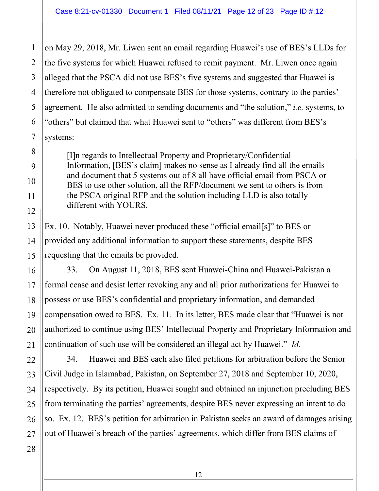on May 29, 2018, Mr. Liwen sent an email regarding Huawei's use of BES's LLDs for the five systems for which Huawei refused to remit payment. Mr. Liwen once again alleged that the PSCA did not use BES's five systems and suggested that Huawei is therefore not obligated to compensate BES for those systems, contrary to the parties' agreement. He also admitted to sending documents and "the solution," *i.e.* systems, to "others" but claimed that what Huawei sent to "others" was different from BES's systems:

[I]n regards to Intellectual Property and Proprietary/Confidential Information, [BES's claim] makes no sense as I already find all the emails and document that 5 systems out of 8 all have official email from PSCA or BES to use other solution, all the RFP/document we sent to others is from the PSCA original RFP and the solution including LLD is also totally different with YOURS.

Ex. 10. Notably, Huawei never produced these "official email[s]" to BES or provided any additional information to support these statements, despite BES requesting that the emails be provided.

33. On August 11, 2018, BES sent Huawei-China and Huawei-Pakistan a formal cease and desist letter revoking any and all prior authorizations for Huawei to possess or use BES's confidential and proprietary information, and demanded compensation owed to BES. Ex. 11. In its letter, BES made clear that "Huawei is not authorized to continue using BES' Intellectual Property and Proprietary Information and continuation of such use will be considered an illegal act by Huawei." *Id*.

34. Huawei and BES each also filed petitions for arbitration before the Senior Civil Judge in Islamabad, Pakistan, on September 27, 2018 and September 10, 2020, respectively. By its petition, Huawei sought and obtained an injunction precluding BES from terminating the parties' agreements, despite BES never expressing an intent to do so. Ex. 12. BES's petition for arbitration in Pakistan seeks an award of damages arising out of Huawei's breach of the parties' agreements, which differ from BES claims of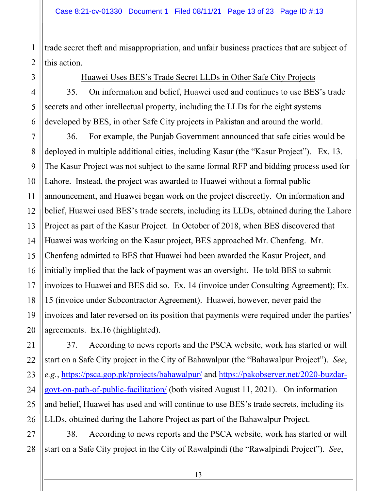trade secret theft and misappropriation, and unfair business practices that are subject of this action.

Huawei Uses BES's Trade Secret LLDs in Other Safe City Projects

35. On information and belief, Huawei used and continues to use BES's trade secrets and other intellectual property, including the LLDs for the eight systems developed by BES, in other Safe City projects in Pakistan and around the world.

36. For example, the Punjab Government announced that safe cities would be deployed in multiple additional cities, including Kasur (the "Kasur Project"). Ex. 13. The Kasur Project was not subject to the same formal RFP and bidding process used for Lahore. Instead, the project was awarded to Huawei without a formal public announcement, and Huawei began work on the project discreetly. On information and belief, Huawei used BES's trade secrets, including its LLDs, obtained during the Lahore Project as part of the Kasur Project. In October of 2018, when BES discovered that Huawei was working on the Kasur project, BES approached Mr. Chenfeng. Mr. Chenfeng admitted to BES that Huawei had been awarded the Kasur Project, and initially implied that the lack of payment was an oversight. He told BES to submit invoices to Huawei and BES did so. Ex. 14 (invoice under Consulting Agreement); Ex. 15 (invoice under Subcontractor Agreement). Huawei, however, never paid the invoices and later reversed on its position that payments were required under the parties' agreements. Ex.16 (highlighted).

37. According to news reports and the PSCA website, work has started or will start on a Safe City project in the City of Bahawalpur (the "Bahawalpur Project"). *See*, *e.g.*,<https://psca.gop.pk/projects/bahawalpur/>and [https://pakobserver.net/2020-buzdar](https://pakobserver.net/2020-buzdar-govt-on-path-of-public-facilitation/)[govt-on-path-of-public-facilitation/](https://pakobserver.net/2020-buzdar-govt-on-path-of-public-facilitation/) (both visited August 11, 2021). On information and belief, Huawei has used and will continue to use BES's trade secrets, including its LLDs, obtained during the Lahore Project as part of the Bahawalpur Project.

38. According to news reports and the PSCA website, work has started or will start on a Safe City project in the City of Rawalpindi (the "Rawalpindi Project"). *See*,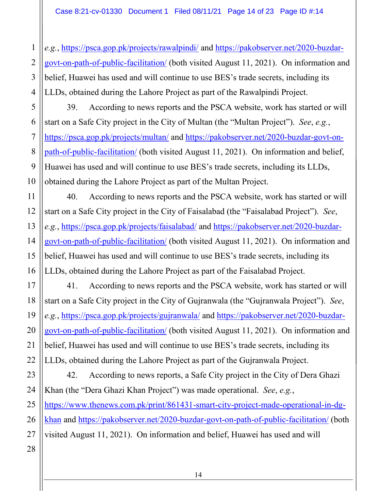*e.g.*,<https://psca.gop.pk/projects/rawalpindi/>and [https://pakobserver.net/2020-buzdar](https://pakobserver.net/2020-buzdar-govt-on-path-of-public-facilitation/)[govt-on-path-of-public-facilitation/](https://pakobserver.net/2020-buzdar-govt-on-path-of-public-facilitation/) (both visited August 11, 2021). On information and belief, Huawei has used and will continue to use BES's trade secrets, including its LLDs, obtained during the Lahore Project as part of the Rawalpindi Project.

39. According to news reports and the PSCA website, work has started or will start on a Safe City project in the City of Multan (the "Multan Project"). *See*, *e.g.*, <https://psca.gop.pk/projects/multan/>and [https://pakobserver.net/2020-buzdar-govt-on](https://pakobserver.net/2020-buzdar-govt-on-path-of-public-facilitation/)[path-of-public-facilitation/](https://pakobserver.net/2020-buzdar-govt-on-path-of-public-facilitation/) (both visited August 11, 2021). On information and belief, Huawei has used and will continue to use BES's trade secrets, including its LLDs, obtained during the Lahore Project as part of the Multan Project.

40. According to news reports and the PSCA website, work has started or will start on a Safe City project in the City of Faisalabad (the "Faisalabad Project"). *See*, *e.g.*,<https://psca.gop.pk/projects/faisalabad/>and [https://pakobserver.net/2020-buzdar](https://pakobserver.net/2020-buzdar-govt-on-path-of-public-facilitation/)[govt-on-path-of-public-facilitation/](https://pakobserver.net/2020-buzdar-govt-on-path-of-public-facilitation/) (both visited August 11, 2021). On information and belief, Huawei has used and will continue to use BES's trade secrets, including its LLDs, obtained during the Lahore Project as part of the Faisalabad Project.

41. According to news reports and the PSCA website, work has started or will start on a Safe City project in the City of Gujranwala (the "Gujranwala Project"). *See*, *e.g.*,<https://psca.gop.pk/projects/gujranwala/>and [https://pakobserver.net/2020-buzdar](https://pakobserver.net/2020-buzdar-govt-on-path-of-public-facilitation/)[govt-on-path-of-public-facilitation/](https://pakobserver.net/2020-buzdar-govt-on-path-of-public-facilitation/) (both visited August 11, 2021). On information and belief, Huawei has used and will continue to use BES's trade secrets, including its LLDs, obtained during the Lahore Project as part of the Gujranwala Project.

42. According to news reports, a Safe City project in the City of Dera Ghazi Khan (the "Dera Ghazi Khan Project") was made operational. *See*, *e.g.*, [https://www.thenews.com.pk/print/861431-smart-city-project-made-operational-in-dg](https://www.thenews.com.pk/print/861431-smart-city-project-made-operational-in-dg-khan)[khan](https://www.thenews.com.pk/print/861431-smart-city-project-made-operational-in-dg-khan) and<https://pakobserver.net/2020-buzdar-govt-on-path-of-public-facilitation/>(both visited August 11, 2021). On information and belief, Huawei has used and will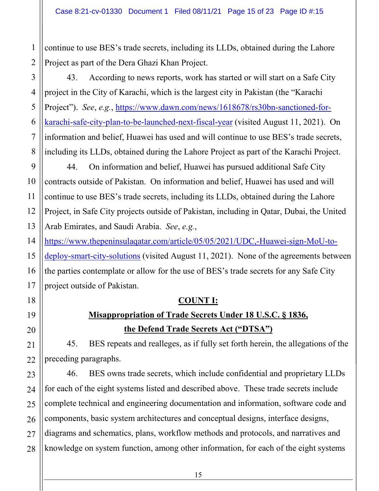continue to use BES's trade secrets, including its LLDs, obtained during the Lahore Project as part of the Dera Ghazi Khan Project.

43. According to news reports, work has started or will start on a Safe City project in the City of Karachi, which is the largest city in Pakistan (the "Karachi Project"). *See*, *e.g.*, [https://www.dawn.com/news/1618678/rs30bn-sanctioned-for](https://www.dawn.com/news/1618678/rs30bn-sanctioned-for-karachi-safe-city-plan-to-be-launched-next-fiscal-year)[karachi-safe-city-plan-to-be-launched-next-fiscal-year](https://www.dawn.com/news/1618678/rs30bn-sanctioned-for-karachi-safe-city-plan-to-be-launched-next-fiscal-year) (visited August 11, 2021). On information and belief, Huawei has used and will continue to use BES's trade secrets, including its LLDs, obtained during the Lahore Project as part of the Karachi Project.

44. On information and belief, Huawei has pursued additional Safe City contracts outside of Pakistan. On information and belief, Huawei has used and will continue to use BES's trade secrets, including its LLDs, obtained during the Lahore Project, in Safe City projects outside of Pakistan, including in Qatar, Dubai, the United Arab Emirates, and Saudi Arabia. *See*, *e.g.*,

[https://www.thepeninsulaqatar.com/article/05/05/2021/UDC,-Huawei-sign-MoU-to](https://www.thepeninsulaqatar.com/article/05/05/2021/UDC,-Huawei-sign-MoU-to-deploy-smart-city-solutions)[deploy-smart-city-solutions](https://www.thepeninsulaqatar.com/article/05/05/2021/UDC,-Huawei-sign-MoU-to-deploy-smart-city-solutions) (visited August 11, 2021). None of the agreements between the parties contemplate or allow for the use of BES's trade secrets for any Safe City project outside of Pakistan.

### **COUNT I:**

# **Misappropriation of Trade Secrets Under 18 U.S.C. § 1836, the Defend Trade Secrets Act ("DTSA")**

45. BES repeats and realleges, as if fully set forth herein, the allegations of the preceding paragraphs.

46. BES owns trade secrets, which include confidential and proprietary LLDs for each of the eight systems listed and described above. These trade secrets include complete technical and engineering documentation and information, software code and components, basic system architectures and conceptual designs, interface designs, diagrams and schematics, plans, workflow methods and protocols, and narratives and knowledge on system function, among other information, for each of the eight systems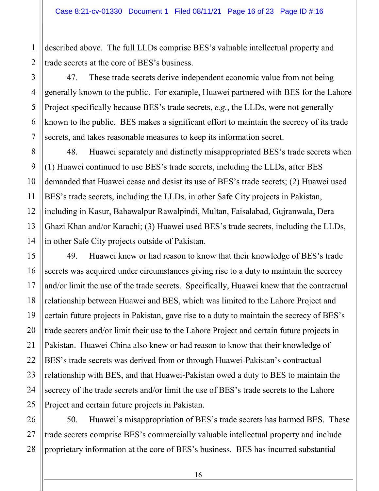described above. The full LLDs comprise BES's valuable intellectual property and trade secrets at the core of BES's business.

47. These trade secrets derive independent economic value from not being generally known to the public. For example, Huawei partnered with BES for the Lahore Project specifically because BES's trade secrets, *e.g.*, the LLDs, were not generally known to the public. BES makes a significant effort to maintain the secrecy of its trade secrets, and takes reasonable measures to keep its information secret.

48. Huawei separately and distinctly misappropriated BES's trade secrets when (1) Huawei continued to use BES's trade secrets, including the LLDs, after BES demanded that Huawei cease and desist its use of BES's trade secrets; (2) Huawei used BES's trade secrets, including the LLDs, in other Safe City projects in Pakistan, including in Kasur, Bahawalpur Rawalpindi, Multan, Faisalabad, Gujranwala, Dera Ghazi Khan and/or Karachi; (3) Huawei used BES's trade secrets, including the LLDs, in other Safe City projects outside of Pakistan.

49. Huawei knew or had reason to know that their knowledge of BES's trade secrets was acquired under circumstances giving rise to a duty to maintain the secrecy and/or limit the use of the trade secrets. Specifically, Huawei knew that the contractual relationship between Huawei and BES, which was limited to the Lahore Project and certain future projects in Pakistan, gave rise to a duty to maintain the secrecy of BES's trade secrets and/or limit their use to the Lahore Project and certain future projects in Pakistan. Huawei-China also knew or had reason to know that their knowledge of BES's trade secrets was derived from or through Huawei-Pakistan's contractual relationship with BES, and that Huawei-Pakistan owed a duty to BES to maintain the secrecy of the trade secrets and/or limit the use of BES's trade secrets to the Lahore Project and certain future projects in Pakistan.

50. Huawei's misappropriation of BES's trade secrets has harmed BES. These trade secrets comprise BES's commercially valuable intellectual property and include proprietary information at the core of BES's business. BES has incurred substantial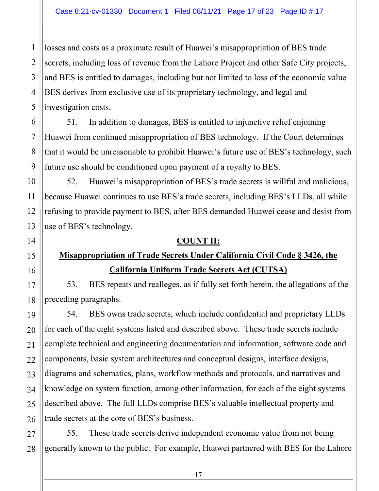losses and costs as a proximate result of Huawei's misappropriation of BES trade secrets, including loss of revenue from the Lahore Project and other Safe City projects, and BES is entitled to damages, including but not limited to loss of the economic value BES derives from exclusive use of its proprietary technology, and legal and investigation costs.

51. In addition to damages, BES is entitled to injunctive relief enjoining Huawei from continued misappropriation of BES technology. If the Court determines that it would be unreasonable to prohibit Huawei's future use of BES's technology, such future use should be conditioned upon payment of a royalty to BES.

52. Huawei's misappropriation of BES's trade secrets is willful and malicious, because Huawei continues to use BES's trade secrets, including BES's LLDs, all while refusing to provide payment to BES, after BES demanded Huawei cease and desist from use of BES's technology.

### **COUNT II:**

## **Misappropriation of Trade Secrets Under California Civil Code § 3426, the California Uniform Trade Secrets Act (CUTSA)**

53. BES repeats and realleges, as if fully set forth herein, the allegations of the preceding paragraphs.

54. BES owns trade secrets, which include confidential and proprietary LLDs for each of the eight systems listed and described above. These trade secrets include complete technical and engineering documentation and information, software code and components, basic system architectures and conceptual designs, interface designs, diagrams and schematics, plans, workflow methods and protocols, and narratives and knowledge on system function, among other information, for each of the eight systems described above. The full LLDs comprise BES's valuable intellectual property and trade secrets at the core of BES's business.

55. These trade secrets derive independent economic value from not being generally known to the public. For example, Huawei partnered with BES for the Lahore

1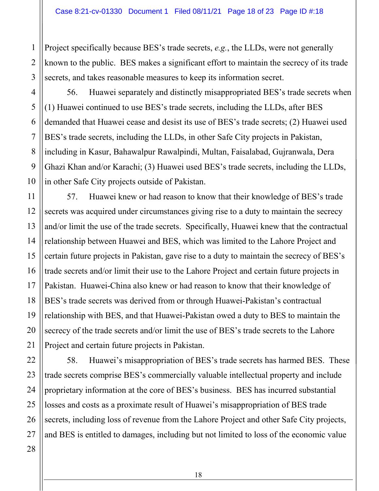Project specifically because BES's trade secrets, *e.g.*, the LLDs, were not generally known to the public. BES makes a significant effort to maintain the secrecy of its trade secrets, and takes reasonable measures to keep its information secret.

56. Huawei separately and distinctly misappropriated BES's trade secrets when (1) Huawei continued to use BES's trade secrets, including the LLDs, after BES demanded that Huawei cease and desist its use of BES's trade secrets; (2) Huawei used BES's trade secrets, including the LLDs, in other Safe City projects in Pakistan, including in Kasur, Bahawalpur Rawalpindi, Multan, Faisalabad, Gujranwala, Dera Ghazi Khan and/or Karachi; (3) Huawei used BES's trade secrets, including the LLDs, in other Safe City projects outside of Pakistan.

57. Huawei knew or had reason to know that their knowledge of BES's trade secrets was acquired under circumstances giving rise to a duty to maintain the secrecy and/or limit the use of the trade secrets. Specifically, Huawei knew that the contractual relationship between Huawei and BES, which was limited to the Lahore Project and certain future projects in Pakistan, gave rise to a duty to maintain the secrecy of BES's trade secrets and/or limit their use to the Lahore Project and certain future projects in Pakistan. Huawei-China also knew or had reason to know that their knowledge of BES's trade secrets was derived from or through Huawei-Pakistan's contractual relationship with BES, and that Huawei-Pakistan owed a duty to BES to maintain the secrecy of the trade secrets and/or limit the use of BES's trade secrets to the Lahore Project and certain future projects in Pakistan.

58. Huawei's misappropriation of BES's trade secrets has harmed BES. These trade secrets comprise BES's commercially valuable intellectual property and include proprietary information at the core of BES's business. BES has incurred substantial losses and costs as a proximate result of Huawei's misappropriation of BES trade secrets, including loss of revenue from the Lahore Project and other Safe City projects, and BES is entitled to damages, including but not limited to loss of the economic value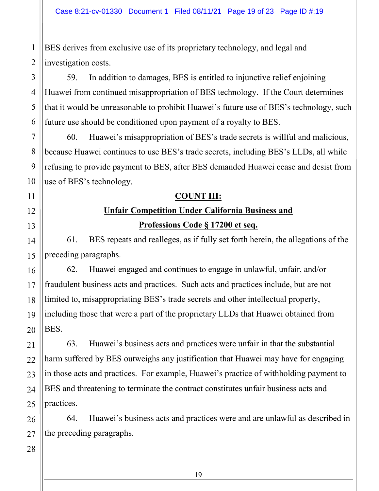BES derives from exclusive use of its proprietary technology, and legal and investigation costs.

59. In addition to damages, BES is entitled to injunctive relief enjoining Huawei from continued misappropriation of BES technology. If the Court determines that it would be unreasonable to prohibit Huawei's future use of BES's technology, such future use should be conditioned upon payment of a royalty to BES.

60. Huawei's misappropriation of BES's trade secrets is willful and malicious, because Huawei continues to use BES's trade secrets, including BES's LLDs, all while refusing to provide payment to BES, after BES demanded Huawei cease and desist from use of BES's technology.

### **COUNT III:**

# **Unfair Competition Under California Business and**

**Professions Code § 17200 et seq.** 

61. BES repeats and realleges, as if fully set forth herein, the allegations of the preceding paragraphs.

62. Huawei engaged and continues to engage in unlawful, unfair, and/or fraudulent business acts and practices. Such acts and practices include, but are not limited to, misappropriating BES's trade secrets and other intellectual property, including those that were a part of the proprietary LLDs that Huawei obtained from BES.

63. Huawei's business acts and practices were unfair in that the substantial harm suffered by BES outweighs any justification that Huawei may have for engaging in those acts and practices. For example, Huawei's practice of withholding payment to BES and threatening to terminate the contract constitutes unfair business acts and practices.

64. Huawei's business acts and practices were and are unlawful as described in the preceding paragraphs.

1

2

3

4

5

6

7

8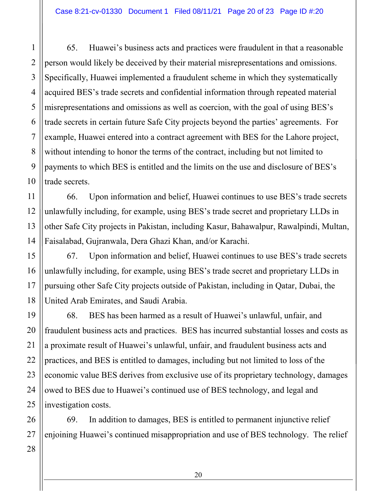65. Huawei's business acts and practices were fraudulent in that a reasonable person would likely be deceived by their material misrepresentations and omissions. Specifically, Huawei implemented a fraudulent scheme in which they systematically acquired BES's trade secrets and confidential information through repeated material misrepresentations and omissions as well as coercion, with the goal of using BES's trade secrets in certain future Safe City projects beyond the parties' agreements. For example, Huawei entered into a contract agreement with BES for the Lahore project, without intending to honor the terms of the contract, including but not limited to payments to which BES is entitled and the limits on the use and disclosure of BES's trade secrets.

66. Upon information and belief, Huawei continues to use BES's trade secrets unlawfully including, for example, using BES's trade secret and proprietary LLDs in other Safe City projects in Pakistan, including Kasur, Bahawalpur, Rawalpindi, Multan, Faisalabad, Gujranwala, Dera Ghazi Khan, and/or Karachi.

67. Upon information and belief, Huawei continues to use BES's trade secrets unlawfully including, for example, using BES's trade secret and proprietary LLDs in pursuing other Safe City projects outside of Pakistan, including in Qatar, Dubai, the United Arab Emirates, and Saudi Arabia.

68. BES has been harmed as a result of Huawei's unlawful, unfair, and fraudulent business acts and practices. BES has incurred substantial losses and costs as a proximate result of Huawei's unlawful, unfair, and fraudulent business acts and practices, and BES is entitled to damages, including but not limited to loss of the economic value BES derives from exclusive use of its proprietary technology, damages owed to BES due to Huawei's continued use of BES technology, and legal and investigation costs.

69. In addition to damages, BES is entitled to permanent injunctive relief enjoining Huawei's continued misappropriation and use of BES technology. The relief

1

2

3

4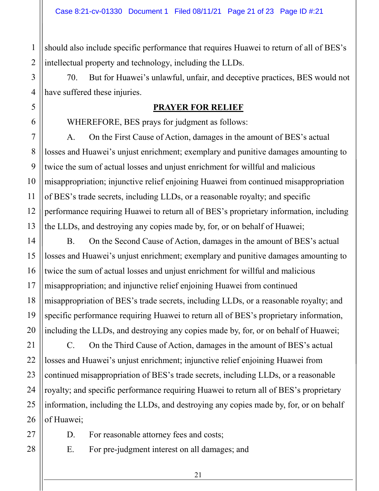should also include specific performance that requires Huawei to return of all of BES's intellectual property and technology, including the LLDs.

70. But for Huawei's unlawful, unfair, and deceptive practices, BES would not have suffered these injuries.

#### **PRAYER FOR RELIEF**

WHEREFORE, BES prays for judgment as follows:

A. On the First Cause of Action, damages in the amount of BES's actual losses and Huawei's unjust enrichment; exemplary and punitive damages amounting to twice the sum of actual losses and unjust enrichment for willful and malicious misappropriation; injunctive relief enjoining Huawei from continued misappropriation of BES's trade secrets, including LLDs, or a reasonable royalty; and specific performance requiring Huawei to return all of BES's proprietary information, including the LLDs, and destroying any copies made by, for, or on behalf of Huawei;

B. On the Second Cause of Action, damages in the amount of BES's actual losses and Huawei's unjust enrichment; exemplary and punitive damages amounting to twice the sum of actual losses and unjust enrichment for willful and malicious misappropriation; and injunctive relief enjoining Huawei from continued misappropriation of BES's trade secrets, including LLDs, or a reasonable royalty; and specific performance requiring Huawei to return all of BES's proprietary information, including the LLDs, and destroying any copies made by, for, or on behalf of Huawei;

C. On the Third Cause of Action, damages in the amount of BES's actual losses and Huawei's unjust enrichment; injunctive relief enjoining Huawei from continued misappropriation of BES's trade secrets, including LLDs, or a reasonable royalty; and specific performance requiring Huawei to return all of BES's proprietary information, including the LLDs, and destroying any copies made by, for, or on behalf of Huawei;

D. For reasonable attorney fees and costs;

E. For pre-judgment interest on all damages; and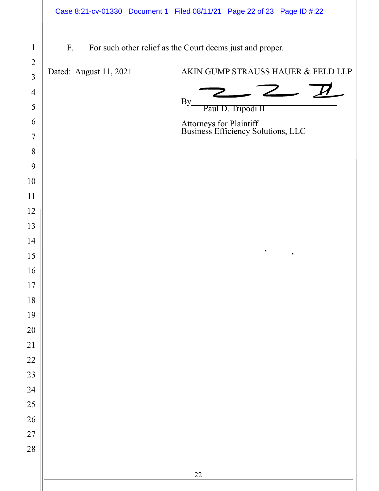F. For such other relief as the Court deems just and proper.

Dated: August 11, 2021 AKIN GUMP STRAUSS HAUER & FELD LLP

 $By$  Paul D. Tripodi II

Attorneys for Plaintiff Business Efficiency Solutions, LLC